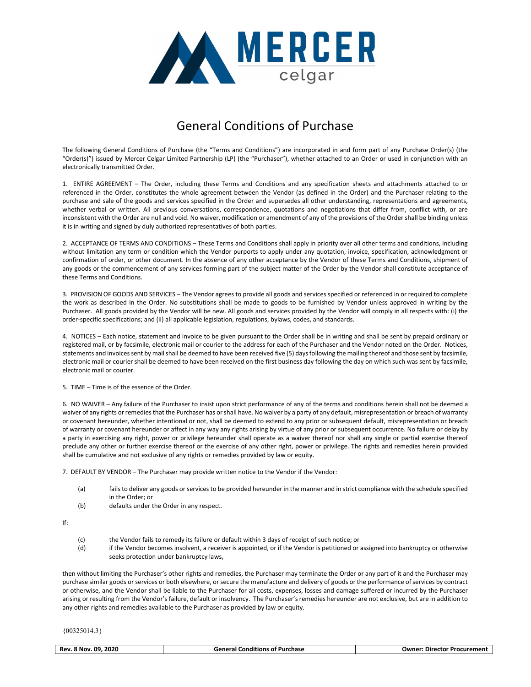

## General Conditions of Purchase

The following General Conditions of Purchase (the "Terms and Conditions") are incorporated in and form part of any Purchase Order(s) (the "Order(s)") issued by Mercer Celgar Limited Partnership (LP) (the "Purchaser"), whether attached to an Order or used in conjunction with an electronically transmitted Order.

1. ENTIRE AGREEMENT – The Order, including these Terms and Conditions and any specification sheets and attachments attached to or referenced in the Order, constitutes the whole agreement between the Vendor (as defined in the Order) and the Purchaser relating to the purchase and sale of the goods and services specified in the Order and supersedes all other understanding, representations and agreements, whether verbal or written. All previous conversations, correspondence, quotations and negotiations that differ from, conflict with, or are inconsistent with the Order are null and void. No waiver, modification or amendment of any of the provisions of the Order shall be binding unless it is in writing and signed by duly authorized representatives of both parties.

2. ACCEPTANCE OF TERMS AND CONDITIONS – These Terms and Conditions shall apply in priority over all other terms and conditions, including without limitation any term or condition which the Vendor purports to apply under any quotation, invoice, specification, acknowledgment or confirmation of order, or other document. In the absence of any other acceptance by the Vendor of these Terms and Conditions, shipment of any goods or the commencement of any services forming part of the subject matter of the Order by the Vendor shall constitute acceptance of these Terms and Conditions.

3. PROVISION OF GOODS AND SERVICES – The Vendor agrees to provide all goods and services specified or referenced in or required to complete the work as described in the Order. No substitutions shall be made to goods to be furnished by Vendor unless approved in writing by the Purchaser. All goods provided by the Vendor will be new. All goods and services provided by the Vendor will comply in all respects with: (i) the order-specific specifications; and (ii) all applicable legislation, regulations, bylaws, codes, and standards.

4. NOTICES – Each notice, statement and invoice to be given pursuant to the Order shall be in writing and shall be sent by prepaid ordinary or registered mail, or by facsimile, electronic mail or courier to the address for each of the Purchaser and the Vendor noted on the Order. Notices, statements and invoices sent by mail shall be deemed to have been received five (5) days following the mailing thereof and those sent by facsimile, electronic mail or courier shall be deemed to have been received on the first business day following the day on which such was sent by facsimile, electronic mail or courier.

5. TIME – Time is of the essence of the Order.

6. NO WAIVER – Any failure of the Purchaser to insist upon strict performance of any of the terms and conditions herein shall not be deemed a waiver of any rights or remedies that the Purchaser has or shall have. No waiver by a party of any default, misrepresentation or breach of warranty or covenant hereunder, whether intentional or not, shall be deemed to extend to any prior or subsequent default, misrepresentation or breach of warranty or covenant hereunder or affect in any way any rights arising by virtue of any prior or subsequent occurrence. No failure or delay by a party in exercising any right, power or privilege hereunder shall operate as a waiver thereof nor shall any single or partial exercise thereof preclude any other or further exercise thereof or the exercise of any other right, power or privilege. The rights and remedies herein provided shall be cumulative and not exclusive of any rights or remedies provided by law or equity.

7. DEFAULT BY VENDOR – The Purchaser may provide written notice to the Vendor if the Vendor:

- (a) fails to deliver any goods or services to be provided hereunder in the manner and in strict compliance with the schedule specified in the Order; or
- (b) defaults under the Order in any respect.

If:

- (c) the Vendor fails to remedy its failure or default within 3 days of receipt of such notice; or
- (d) if the Vendor becomes insolvent, a receiver is appointed, or if the Vendor is petitioned or assigned into bankruptcy or otherwise seeks protection under bankruptcy laws,

then without limiting the Purchaser's other rights and remedies, the Purchaser may terminate the Order or any part of it and the Purchaser may purchase similar goods or services or both elsewhere, or secure the manufacture and delivery of goods or the performance of services by contract or otherwise, and the Vendor shall be liable to the Purchaser for all costs, expenses, losses and damage suffered or incurred by the Purchaser arising or resulting from the Vendor's failure, default or insolvency. The Purchaser's remedies hereunder are not exclusive, but are in addition to any other rights and remedies available to the Purchaser as provided by law or equity.

| .09.2020 | $\cdots$                  | * Procurement |
|----------|---------------------------|---------------|
| Rev.     | al Conditions of Purchase | <b>Owner</b>  |
| . 8 Nov  | General (                 | : Director    |
|          |                           |               |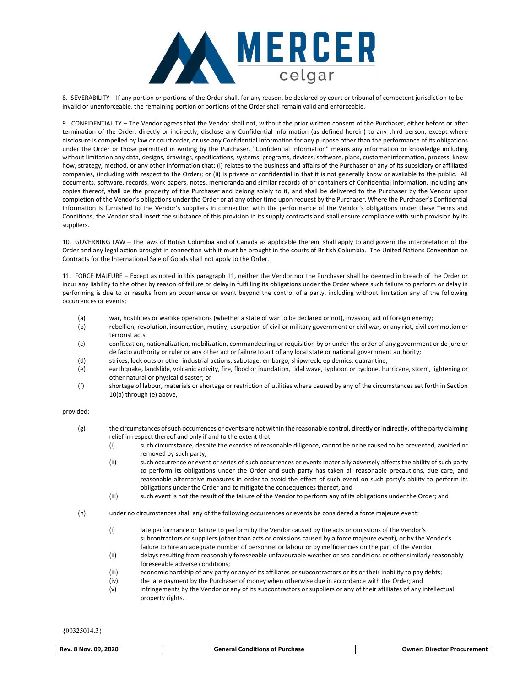

8. SEVERABILITY – If any portion or portions of the Order shall, for any reason, be declared by court or tribunal of competent jurisdiction to be invalid or unenforceable, the remaining portion or portions of the Order shall remain valid and enforceable.

9. CONFIDENTIALITY – The Vendor agrees that the Vendor shall not, without the prior written consent of the Purchaser, either before or after termination of the Order, directly or indirectly, disclose any Confidential Information (as defined herein) to any third person, except where disclosure is compelled by law or court order, or use any Confidential Information for any purpose other than the performance of its obligations under the Order or those permitted in writing by the Purchaser. "Confidential Information" means any information or knowledge including without limitation any data, designs, drawings, specifications, systems, programs, devices, software, plans, customer information, process, know how, strategy, method, or any other information that: (i) relates to the business and affairs of the Purchaser or any of its subsidiary or affiliated companies, (including with respect to the Order); or (ii) is private or confidential in that it is not generally know or available to the public. All documents, software, records, work papers, notes, memoranda and similar records of or containers of Confidential Information, including any copies thereof, shall be the property of the Purchaser and belong solely to it, and shall be delivered to the Purchaser by the Vendor upon completion of the Vendor's obligations under the Order or at any other time upon request by the Purchaser. Where the Purchaser's Confidential Information is furnished to the Vendor's suppliers in connection with the performance of the Vendor's obligations under these Terms and Conditions, the Vendor shall insert the substance of this provision in its supply contracts and shall ensure compliance with such provision by its suppliers.

10. GOVERNING LAW – The laws of British Columbia and of Canada as applicable therein, shall apply to and govern the interpretation of the Order and any legal action brought in connection with it must be brought in the courts of British Columbia. The United Nations Convention on Contracts for the International Sale of Goods shall not apply to the Order.

11. FORCE MAJEURE – Except as noted in this paragraph 11, neither the Vendor nor the Purchaser shall be deemed in breach of the Order or incur any liability to the other by reason of failure or delay in fulfilling its obligations under the Order where such failure to perform or delay in performing is due to or results from an occurrence or event beyond the control of a party, including without limitation any of the following occurrences or events;

- (a) war, hostilities or warlike operations (whether a state of war to be declared or not), invasion, act of foreign enemy;
- (b) rebellion, revolution, insurrection, mutiny, usurpation of civil or military government or civil war, or any riot, civil commotion or terrorist acts;
- (c) confiscation, nationalization, mobilization, commandeering or requisition by or under the order of any government or de jure or de facto authority or ruler or any other act or failure to act of any local state or national government authority;
- (d) strikes, lock outs or other industrial actions, sabotage, embargo, shipwreck, epidemics, quarantine;
- (e) earthquake, landslide, volcanic activity, fire, flood or inundation, tidal wave, typhoon or cyclone, hurricane, storm, lightening or other natural or physical disaster; or
- (f) shortage of labour, materials or shortage or restriction of utilities where caused by any of the circumstances set forth in Section 10(a) through (e) above,

## provided:

- (g) the circumstances of such occurrences or events are not within the reasonable control, directly or indirectly, of the party claiming relief in respect thereof and only if and to the extent that
	- (i) such circumstance, despite the exercise of reasonable diligence, cannot be or be caused to be prevented, avoided or removed by such party,
	- (ii) such occurrence or event or series of such occurrences or events materially adversely affects the ability of such party to perform its obligations under the Order and such party has taken all reasonable precautions, due care, and reasonable alternative measures in order to avoid the effect of such event on such party's ability to perform its obligations under the Order and to mitigate the consequences thereof, and
	- (iii) such event is not the result of the failure of the Vendor to perform any of its obligations under the Order; and
- (h) under no circumstances shall any of the following occurrences or events be considered a force majeure event:
	- (i) late performance or failure to perform by the Vendor caused by the acts or omissions of the Vendor's subcontractors or suppliers (other than acts or omissions caused by a force majeure event), or by the Vendor's failure to hire an adequate number of personnel or labour or by inefficiencies on the part of the Vendor;
	- (ii) delays resulting from reasonably foreseeable unfavourable weather or sea conditions or other similarly reasonably foreseeable adverse conditions;
	- (iii) economic hardship of any party or any of its affiliates or subcontractors or its or their inability to pay debts;
	- (iv) the late payment by the Purchaser of money when otherwise due in accordance with the Order; and
	- (v) infringements by the Vendor or any of its subcontractors or suppliers or any of their affiliates of any intellectual property rights.

| Rev. 8 Nov. 09. 2020 | <b>General Conditions of Purchase</b> | <b>Owner: Director Procurement</b> |
|----------------------|---------------------------------------|------------------------------------|
|                      |                                       |                                    |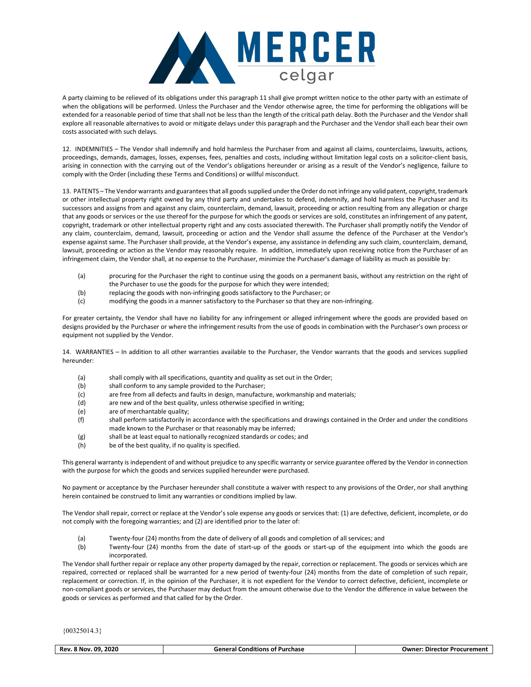

A party claiming to be relieved of its obligations under this paragraph 11 shall give prompt written notice to the other party with an estimate of when the obligations will be performed. Unless the Purchaser and the Vendor otherwise agree, the time for performing the obligations will be extended for a reasonable period of time that shall not be less than the length of the critical path delay. Both the Purchaser and the Vendor shall explore all reasonable alternatives to avoid or mitigate delays under this paragraph and the Purchaser and the Vendor shall each bear their own costs associated with such delays.

12. INDEMNITIES – The Vendor shall indemnify and hold harmless the Purchaser from and against all claims, counterclaims, lawsuits, actions, proceedings, demands, damages, losses, expenses, fees, penalties and costs, including without limitation legal costs on a solicitor-client basis, arising in connection with the carrying out of the Vendor's obligations hereunder or arising as a result of the Vendor's negligence, failure to comply with the Order (including these Terms and Conditions) or willful misconduct.

13. PATENTS – The Vendor warrants and guarantees that all goods supplied under the Order do not infringe any valid patent, copyright, trademark or other intellectual property right owned by any third party and undertakes to defend, indemnify, and hold harmless the Purchaser and its successors and assigns from and against any claim, counterclaim, demand, lawsuit, proceeding or action resulting from any allegation or charge that any goods or services or the use thereof for the purpose for which the goods or services are sold, constitutes an infringement of any patent, copyright, trademark or other intellectual property right and any costs associated therewith. The Purchaser shall promptly notify the Vendor of any claim, counterclaim, demand, lawsuit, proceeding or action and the Vendor shall assume the defence of the Purchaser at the Vendor's expense against same. The Purchaser shall provide, at the Vendor's expense, any assistance in defending any such claim, counterclaim, demand, lawsuit, proceeding or action as the Vendor may reasonably require. In addition, immediately upon receiving notice from the Purchaser of an infringement claim, the Vendor shall, at no expense to the Purchaser, minimize the Purchaser's damage of liability as much as possible by:

- (a) procuring for the Purchaser the right to continue using the goods on a permanent basis, without any restriction on the right of the Purchaser to use the goods for the purpose for which they were intended;
- (b) replacing the goods with non-infringing goods satisfactory to the Purchaser; or
- (c) modifying the goods in a manner satisfactory to the Purchaser so that they are non-infringing.

For greater certainty, the Vendor shall have no liability for any infringement or alleged infringement where the goods are provided based on designs provided by the Purchaser or where the infringement results from the use of goods in combination with the Purchaser's own process or equipment not supplied by the Vendor.

14. WARRANTIES – In addition to all other warranties available to the Purchaser, the Vendor warrants that the goods and services supplied hereunder:

- (a) shall comply with all specifications, quantity and quality as set out in the Order;
- (b) shall conform to any sample provided to the Purchaser;
- (c) are free from all defects and faults in design, manufacture, workmanship and materials;
- (d) are new and of the best quality, unless otherwise specified in writing;
- (e) are of merchantable quality;
- (f) shall perform satisfactorily in accordance with the specifications and drawings contained in the Order and under the conditions made known to the Purchaser or that reasonably may be inferred;
- (g) shall be at least equal to nationally recognized standards or codes; and
- (h) be of the best quality, if no quality is specified.

This general warranty is independent of and without prejudice to any specific warranty or service guarantee offered by the Vendor in connection with the purpose for which the goods and services supplied hereunder were purchased.

No payment or acceptance by the Purchaser hereunder shall constitute a waiver with respect to any provisions of the Order, nor shall anything herein contained be construed to limit any warranties or conditions implied by law.

The Vendor shall repair, correct or replace at the Vendor's sole expense any goods or services that: (1) are defective, deficient, incomplete, or do not comply with the foregoing warranties; and (2) are identified prior to the later of:

- (a) Twenty-four (24) months from the date of delivery of all goods and completion of all services; and
- (b) Twenty-four (24) months from the date of start-up of the goods or start-up of the equipment into which the goods are incorporated.

The Vendor shall further repair or replace any other property damaged by the repair, correction or replacement. The goods or services which are repaired, corrected or replaced shall be warranted for a new period of twenty-four (24) months from the date of completion of such repair, replacement or correction. If, in the opinion of the Purchaser, it is not expedient for the Vendor to correct defective, deficient, incomplete or non-compliant goods or services, the Purchaser may deduct from the amount otherwise due to the Vendor the difference in value between the goods or services as performed and that called for by the Order.

| 2020<br>Rev.<br>n۹<br><b>RNOV</b> | $\cdots$<br>Purchase<br>ener<br>Conditions of | Procurement<br>Jwner<br>. Director |
|-----------------------------------|-----------------------------------------------|------------------------------------|
|                                   |                                               |                                    |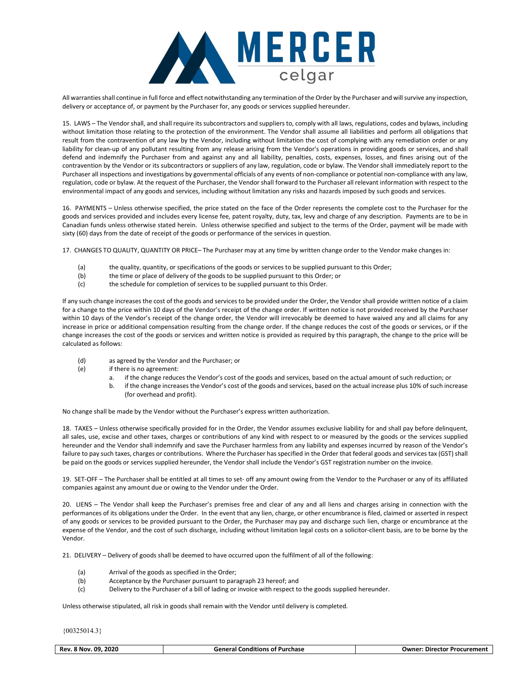

All warranties shall continue in full force and effect notwithstanding any termination of the Order by the Purchaser and will survive any inspection, delivery or acceptance of, or payment by the Purchaser for, any goods or services supplied hereunder.

15. LAWS – The Vendor shall, and shall require its subcontractors and suppliers to, comply with all laws, regulations, codes and bylaws, including without limitation those relating to the protection of the environment. The Vendor shall assume all liabilities and perform all obligations that result from the contravention of any law by the Vendor, including without limitation the cost of complying with any remediation order or any liability for clean-up of any pollutant resulting from any release arising from the Vendor's operations in providing goods or services, and shall defend and indemnify the Purchaser from and against any and all liability, penalties, costs, expenses, losses, and fines arising out of the contravention by the Vendor or its subcontractors or suppliers of any law, regulation, code or bylaw. The Vendor shall immediately report to the Purchaser all inspections and investigations by governmental officials of any events of non-compliance or potential non-compliance with any law, regulation, code or bylaw. At the request of the Purchaser, the Vendor shall forward to the Purchaser all relevant information with respect to the environmental impact of any goods and services, including without limitation any risks and hazards imposed by such goods and services.

16. PAYMENTS – Unless otherwise specified, the price stated on the face of the Order represents the complete cost to the Purchaser for the goods and services provided and includes every license fee, patent royalty, duty, tax, levy and charge of any description. Payments are to be in Canadian funds unless otherwise stated herein. Unless otherwise specified and subject to the terms of the Order, payment will be made with sixty (60) days from the date of receipt of the goods or performance of the services in question.

17. CHANGES TO QUALITY, QUANTITY OR PRICE– The Purchaser may at any time by written change order to the Vendor make changes in:

- (a) the quality, quantity, or specifications of the goods or services to be supplied pursuant to this Order;
- (b) the time or place of delivery of the goods to be supplied pursuant to this Order; or
- (c) the schedule for completion of services to be supplied pursuant to this Order.

If any such change increases the cost of the goods and services to be provided under the Order, the Vendor shall provide written notice of a claim for a change to the price within 10 days of the Vendor's receipt of the change order. If written notice is not provided received by the Purchaser within 10 days of the Vendor's receipt of the change order, the Vendor will irrevocably be deemed to have waived any and all claims for any increase in price or additional compensation resulting from the change order. If the change reduces the cost of the goods or services, or if the change increases the cost of the goods or services and written notice is provided as required by this paragraph, the change to the price will be calculated as follows:

- (d) as agreed by the Vendor and the Purchaser; or
- (e) if there is no agreement:
	- a. if the change reduces the Vendor's cost of the goods and services, based on the actual amount of such reduction; or
	- b. if the change increases the Vendor's cost of the goods and services, based on the actual increase plus 10% of such increase (for overhead and profit).

No change shall be made by the Vendor without the Purchaser's express written authorization.

18. TAXES – Unless otherwise specifically provided for in the Order, the Vendor assumes exclusive liability for and shall pay before delinquent, all sales, use, excise and other taxes, charges or contributions of any kind with respect to or measured by the goods or the services supplied hereunder and the Vendor shall indemnify and save the Purchaser harmless from any liability and expenses incurred by reason of the Vendor's failure to pay such taxes, charges or contributions. Where the Purchaser has specified in the Order that federal goods and services tax (GST) shall be paid on the goods or services supplied hereunder, the Vendor shall include the Vendor's GST registration number on the invoice.

19. SET-OFF – The Purchaser shall be entitled at all times to set- off any amount owing from the Vendor to the Purchaser or any of its affiliated companies against any amount due or owing to the Vendor under the Order.

20. LIENS – The Vendor shall keep the Purchaser's premises free and clear of any and all liens and charges arising in connection with the performances of its obligations under the Order. In the event that any lien, charge, or other encumbrance is filed, claimed or asserted in respect of any goods or services to be provided pursuant to the Order, the Purchaser may pay and discharge such lien, charge or encumbrance at the expense of the Vendor, and the cost of such discharge, including without limitation legal costs on a solicitor-client basis, are to be borne by the Vendor.

21. DELIVERY – Delivery of goods shall be deemed to have occurred upon the fulfilment of all of the following:

- (a) Arrival of the goods as specified in the Order;
- (b) Acceptance by the Purchaser pursuant to paragraph 23 hereof; and
- (c) Delivery to the Purchaser of a bill of lading or invoice with respect to the goods supplied hereunder.

Unless otherwise stipulated, all risk in goods shall remain with the Vendor until delivery is completed.

| 2020<br>Conditions of Purchase<br>. 09<br>8 Nov<br>ieneral<br>Rev. | Procurement<br>Director<br>uwner: |
|--------------------------------------------------------------------|-----------------------------------|
|--------------------------------------------------------------------|-----------------------------------|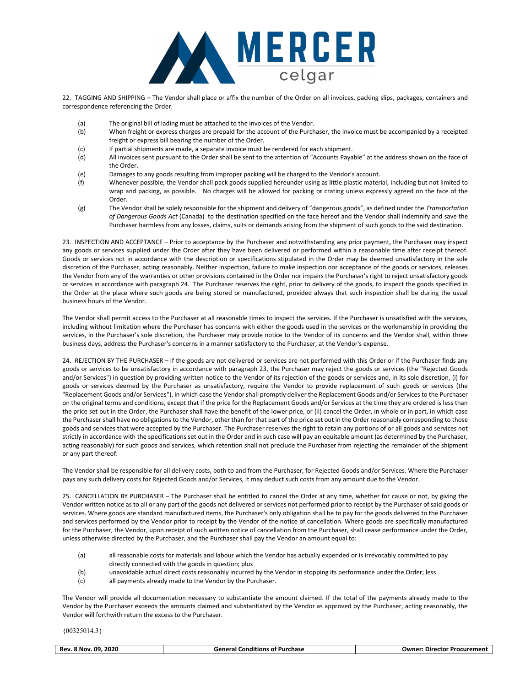

22. TAGGING AND SHIPPING – The Vendor shall place or affix the number of the Order on all invoices, packing slips, packages, containers and correspondence referencing the Order.

- (a) The original bill of lading must be attached to the invoices of the Vendor.
- (b) When freight or express charges are prepaid for the account of the Purchaser, the invoice must be accompanied by a receipted freight or express bill bearing the number of the Order.
- (c) If partial shipments are made, a separate invoice must be rendered for each shipment.
- (d) All invoices sent pursuant to the Order shall be sent to the attention of "Accounts Payable" at the address shown on the face of the Order.
- (e) Damages to any goods resulting from improper packing will be charged to the Vendor's account.
- (f) Whenever possible, the Vendor shall pack goods supplied hereunder using as little plastic material, including but not limited to wrap and packing, as possible. No charges will be allowed for packing or crating unless expressly agreed on the face of the Order.
- (g) The Vendor shall be solely responsible for the shipment and delivery of "dangerous goods", as defined under the Transportation of Dangerous Goods Act (Canada) to the destination specified on the face hereof and the Vendor shall indemnify and save the Purchaser harmless from any losses, claims, suits or demands arising from the shipment of such goods to the said destination.

23. INSPECTION AND ACCEPTANCE – Prior to acceptance by the Purchaser and notwithstanding any prior payment, the Purchaser may inspect any goods or services supplied under the Order after they have been delivered or performed within a reasonable time after receipt thereof. Goods or services not in accordance with the description or specifications stipulated in the Order may be deemed unsatisfactory in the sole discretion of the Purchaser, acting reasonably. Neither inspection, failure to make inspection nor acceptance of the goods or services, releases the Vendor from any of the warranties or other provisions contained in the Order nor impairs the Purchaser's right to reject unsatisfactory goods or services in accordance with paragraph 24. The Purchaser reserves the right, prior to delivery of the goods, to inspect the goods specified in the Order at the place where such goods are being stored or manufactured, provided always that such inspection shall be during the usual business hours of the Vendor.

The Vendor shall permit access to the Purchaser at all reasonable times to inspect the services. If the Purchaser is unsatisfied with the services, including without limitation where the Purchaser has concerns with either the goods used in the services or the workmanship in providing the services, in the Purchaser's sole discretion, the Purchaser may provide notice to the Vendor of its concerns and the Vendor shall, within three business days, address the Purchaser's concerns in a manner satisfactory to the Purchaser, at the Vendor's expense.

24. REJECTION BY THE PURCHASER – If the goods are not delivered or services are not performed with this Order or if the Purchaser finds any goods or services to be unsatisfactory in accordance with paragraph 23, the Purchaser may reject the goods or services (the "Rejected Goods and/or Services") in question by providing written notice to the Vendor of its rejection of the goods or services and, in its sole discretion, (i) for goods or services deemed by the Purchaser as unsatisfactory, require the Vendor to provide replacement of such goods or services (the "Replacement Goods and/or Services"), in which case the Vendor shall promptly deliver the Replacement Goods and/or Services to the Purchaser on the original terms and conditions, except that if the price for the Replacement Goods and/or Services at the time they are ordered is less than the price set out in the Order, the Purchaser shall have the benefit of the lower price, or (ii) cancel the Order, in whole or in part, in which case the Purchaser shall have no obligations to the Vendor, other than for that part of the price set out in the Order reasonably corresponding to those goods and services that were accepted by the Purchaser. The Purchaser reserves the right to retain any portions of or all goods and services not strictly in accordance with the specifications set out in the Order and in such case will pay an equitable amount (as determined by the Purchaser, acting reasonably) for such goods and services, which retention shall not preclude the Purchaser from rejecting the remainder of the shipment or any part thereof.

The Vendor shall be responsible for all delivery costs, both to and from the Purchaser, for Rejected Goods and/or Services. Where the Purchaser pays any such delivery costs for Rejected Goods and/or Services, it may deduct such costs from any amount due to the Vendor.

25. CANCELLATION BY PURCHASER – The Purchaser shall be entitled to cancel the Order at any time, whether for cause or not, by giving the Vendor written notice as to all or any part of the goods not delivered or services not performed prior to receipt by the Purchaser of said goods or services. Where goods are standard manufactured items, the Purchaser's only obligation shall be to pay for the goods delivered to the Purchaser and services performed by the Vendor prior to receipt by the Vendor of the notice of cancellation. Where goods are specifically manufactured for the Purchaser, the Vendor, upon receipt of such written notice of cancellation from the Purchaser, shall cease performance under the Order, unless otherwise directed by the Purchaser, and the Purchaser shall pay the Vendor an amount equal to:

- (a) all reasonable costs for materials and labour which the Vendor has actually expended or is irrevocably committed to pay directly connected with the goods in question; plus
- (b) unavoidable actual direct costs reasonably incurred by the Vendor in stopping its performance under the Order; less
- (c) all payments already made to the Vendor by the Purchaser.

The Vendor will provide all documentation necessary to substantiate the amount claimed. If the total of the payments already made to the Vendor by the Purchaser exceeds the amounts claimed and substantiated by the Vendor as approved by the Purchaser, acting reasonably, the Vendor will forthwith return the excess to the Purchaser.

| .2020<br>Rev.<br>nq<br>™ Nov.<br>_____ | Purchase<br>Gonoral<br>_onditions<br>отн | ∵Procuremen.<br><b>Owne</b> ı<br>Direc<br>-ctor - |
|----------------------------------------|------------------------------------------|---------------------------------------------------|
|                                        |                                          |                                                   |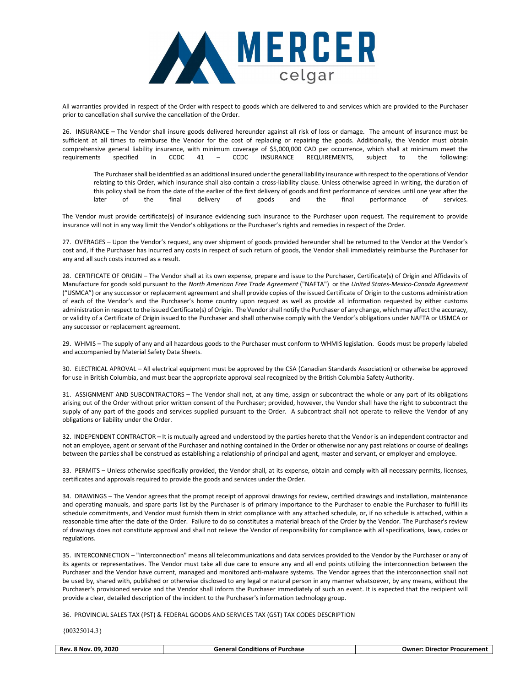

All warranties provided in respect of the Order with respect to goods which are delivered to and services which are provided to the Purchaser prior to cancellation shall survive the cancellation of the Order.

26. INSURANCE – The Vendor shall insure goods delivered hereunder against all risk of loss or damage. The amount of insurance must be sufficient at all times to reimburse the Vendor for the cost of replacing or repairing the goods. Additionally, the Vendor must obtain comprehensive general liability insurance, with minimum coverage of \$5,000,000 CAD per occurrence, which shall at minimum meet the requirements specified in CCDC 41 – CCDC INSURANCE REQUIREMENTS, subject to the following:

The Purchaser shall be identified as an additional insured under the general liability insurance with respect to the operations of Vendor relating to this Order, which insurance shall also contain a cross-liability clause. Unless otherwise agreed in writing, the duration of this policy shall be from the date of the earlier of the first delivery of goods and first performance of services until one year after the later of the final delivery of goods and the final performance of services.

The Vendor must provide certificate(s) of insurance evidencing such insurance to the Purchaser upon request. The requirement to provide insurance will not in any way limit the Vendor's obligations or the Purchaser's rights and remedies in respect of the Order.

27. OVERAGES – Upon the Vendor's request, any over shipment of goods provided hereunder shall be returned to the Vendor at the Vendor's cost and, if the Purchaser has incurred any costs in respect of such return of goods, the Vendor shall immediately reimburse the Purchaser for any and all such costs incurred as a result.

28. CERTIFICATE OF ORIGIN – The Vendor shall at its own expense, prepare and issue to the Purchaser, Certificate(s) of Origin and Affidavits of Manufacture for goods sold pursuant to the North American Free Trade Agreement ("NAFTA") or the United States-Mexico-Canada Agreement ("USMCA") or any successor or replacement agreement and shall provide copies of the issued Certificate of Origin to the customs administration of each of the Vendor's and the Purchaser's home country upon request as well as provide all information requested by either customs administration in respect to the issued Certificate(s) of Origin. The Vendor shall notify the Purchaser of any change, which may affect the accuracy, or validity of a Certificate of Origin issued to the Purchaser and shall otherwise comply with the Vendor's obligations under NAFTA or USMCA or any successor or replacement agreement.

29. WHMIS – The supply of any and all hazardous goods to the Purchaser must conform to WHMIS legislation. Goods must be properly labeled and accompanied by Material Safety Data Sheets.

30. ELECTRICAL APROVAL – All electrical equipment must be approved by the CSA (Canadian Standards Association) or otherwise be approved for use in British Columbia, and must bear the appropriate approval seal recognized by the British Columbia Safety Authority.

31. ASSIGNMENT AND SUBCONTRACTORS – The Vendor shall not, at any time, assign or subcontract the whole or any part of its obligations arising out of the Order without prior written consent of the Purchaser; provided, however, the Vendor shall have the right to subcontract the supply of any part of the goods and services supplied pursuant to the Order. A subcontract shall not operate to relieve the Vendor of any obligations or liability under the Order.

32. INDEPENDENT CONTRACTOR – It is mutually agreed and understood by the parties hereto that the Vendor is an independent contractor and not an employee, agent or servant of the Purchaser and nothing contained in the Order or otherwise nor any past relations or course of dealings between the parties shall be construed as establishing a relationship of principal and agent, master and servant, or employer and employee.

33. PERMITS – Unless otherwise specifically provided, the Vendor shall, at its expense, obtain and comply with all necessary permits, licenses, certificates and approvals required to provide the goods and services under the Order.

34. DRAWINGS – The Vendor agrees that the prompt receipt of approval drawings for review, certified drawings and installation, maintenance and operating manuals, and spare parts list by the Purchaser is of primary importance to the Purchaser to enable the Purchaser to fulfill its schedule commitments, and Vendor must furnish them in strict compliance with any attached schedule, or, if no schedule is attached, within a reasonable time after the date of the Order. Failure to do so constitutes a material breach of the Order by the Vendor. The Purchaser's review of drawings does not constitute approval and shall not relieve the Vendor of responsibility for compliance with all specifications, laws, codes or regulations.

35. INTERCONNECTION – "Interconnection" means all telecommunications and data services provided to the Vendor by the Purchaser or any of its agents or representatives. The Vendor must take all due care to ensure any and all end points utilizing the interconnection between the Purchaser and the Vendor have current, managed and monitored anti-malware systems. The Vendor agrees that the interconnection shall not be used by, shared with, published or otherwise disclosed to any legal or natural person in any manner whatsoever, by any means, without the Purchaser's provisioned service and the Vendor shall inform the Purchaser immediately of such an event. It is expected that the recipient will provide a clear, detailed description of the incident to the Purchaser's information technology group.

36. PROVINCIAL SALES TAX (PST) & FEDERAL GOODS AND SERVICES TAX (GST) TAX CODES DESCRIPTION

| 2020<br>.09<br><b>General Conditions of Purchase</b><br>ጻ Nov.<br>Procurement<br>Rev.<br>ulwner<br>Director |
|-------------------------------------------------------------------------------------------------------------|
|-------------------------------------------------------------------------------------------------------------|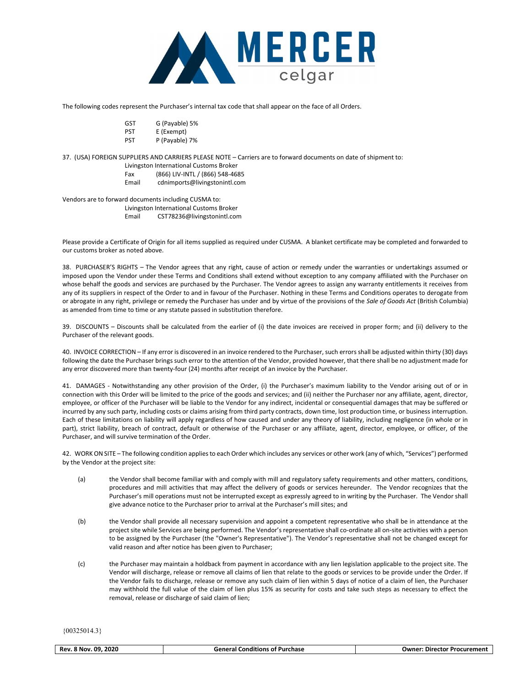

The following codes represent the Purchaser's internal tax code that shall appear on the face of all Orders.

- GST G (Payable) 5%
- PST E (Exempt)
- PST P (Payable) 7%

37. (USA) FOREIGN SUPPLIERS AND CARRIERS PLEASE NOTE – Carriers are to forward documents on date of shipment to:

- Livingston International Customs Broker
- Fax (866) LIV-INTL / (866) 548-4685
- Email cdnimports@livingstonintl.com

Vendors are to forward documents including CUSMA to:

Livingston International Customs Broker

Email CST78236@livingstonintl.com

Please provide a Certificate of Origin for all items supplied as required under CUSMA. A blanket certificate may be completed and forwarded to our customs broker as noted above.

38. PURCHASER'S RIGHTS – The Vendor agrees that any right, cause of action or remedy under the warranties or undertakings assumed or imposed upon the Vendor under these Terms and Conditions shall extend without exception to any company affiliated with the Purchaser on whose behalf the goods and services are purchased by the Purchaser. The Vendor agrees to assign any warranty entitlements it receives from any of its suppliers in respect of the Order to and in favour of the Purchaser. Nothing in these Terms and Conditions operates to derogate from or abrogate in any right, privilege or remedy the Purchaser has under and by virtue of the provisions of the Sale of Goods Act (British Columbia) as amended from time to time or any statute passed in substitution therefore.

39. DISCOUNTS – Discounts shall be calculated from the earlier of (i) the date invoices are received in proper form; and (ii) delivery to the Purchaser of the relevant goods.

40. INVOICE CORRECTION – If any error is discovered in an invoice rendered to the Purchaser, such errors shall be adjusted within thirty (30) days following the date the Purchaser brings such error to the attention of the Vendor, provided however, that there shall be no adjustment made for any error discovered more than twenty-four (24) months after receipt of an invoice by the Purchaser.

41. DAMAGES - Notwithstanding any other provision of the Order, (i) the Purchaser's maximum liability to the Vendor arising out of or in connection with this Order will be limited to the price of the goods and services; and (ii) neither the Purchaser nor any affiliate, agent, director, employee, or officer of the Purchaser will be liable to the Vendor for any indirect, incidental or consequential damages that may be suffered or incurred by any such party, including costs or claims arising from third party contracts, down time, lost production time, or business interruption. Each of these limitations on liability will apply regardless of how caused and under any theory of liability, including negligence (in whole or in part), strict liability, breach of contract, default or otherwise of the Purchaser or any affiliate, agent, director, employee, or officer, of the Purchaser, and will survive termination of the Order.

42. WORK ON SITE – The following condition applies to each Order which includes any services or other work (any of which, "Services") performed by the Vendor at the project site:

- (a) the Vendor shall become familiar with and comply with mill and regulatory safety requirements and other matters, conditions, procedures and mill activities that may affect the delivery of goods or services hereunder. The Vendor recognizes that the Purchaser's mill operations must not be interrupted except as expressly agreed to in writing by the Purchaser. The Vendor shall give advance notice to the Purchaser prior to arrival at the Purchaser's mill sites; and
- (b) the Vendor shall provide all necessary supervision and appoint a competent representative who shall be in attendance at the project site while Services are being performed. The Vendor's representative shall co-ordinate all on-site activities with a person to be assigned by the Purchaser (the "Owner's Representative"). The Vendor's representative shall not be changed except for valid reason and after notice has been given to Purchaser;
- (c) the Purchaser may maintain a holdback from payment in accordance with any lien legislation applicable to the project site. The Vendor will discharge, release or remove all claims of lien that relate to the goods or services to be provide under the Order. If the Vendor fails to discharge, release or remove any such claim of lien within 5 days of notice of a claim of lien, the Purchaser may withhold the full value of the claim of lien plus 15% as security for costs and take such steps as necessary to effect the removal, release or discharge of said claim of lien;

| 2020<br>Rev.<br>. 09.<br>' Nov | <br>Purchase<br>Conditions<br>. ot<br>. Sanara' | r Procurement<br>Owner<br>Director |
|--------------------------------|-------------------------------------------------|------------------------------------|
|                                |                                                 |                                    |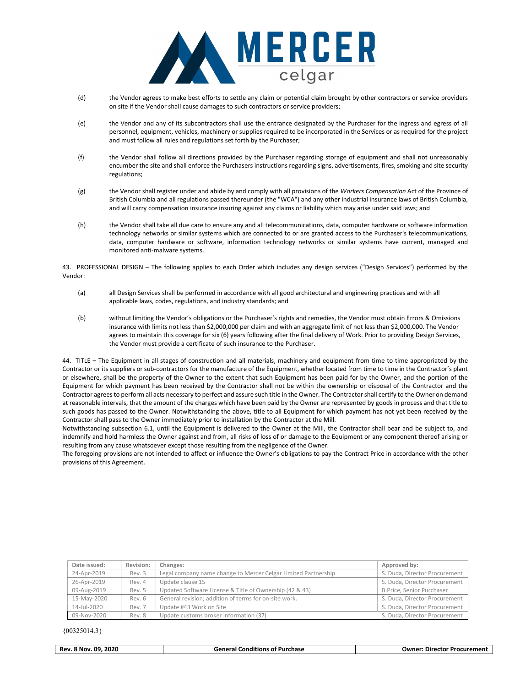

- (d) the Vendor agrees to make best efforts to settle any claim or potential claim brought by other contractors or service providers on site if the Vendor shall cause damages to such contractors or service providers;
- (e) the Vendor and any of its subcontractors shall use the entrance designated by the Purchaser for the ingress and egress of all personnel, equipment, vehicles, machinery or supplies required to be incorporated in the Services or as required for the project and must follow all rules and regulations set forth by the Purchaser;
- (f) the Vendor shall follow all directions provided by the Purchaser regarding storage of equipment and shall not unreasonably encumber the site and shall enforce the Purchasers instructions regarding signs, advertisements, fires, smoking and site security regulations;
- (g) the Vendor shall register under and abide by and comply with all provisions of the Workers Compensation Act of the Province of British Columbia and all regulations passed thereunder (the "WCA") and any other industrial insurance laws of British Columbia, and will carry compensation insurance insuring against any claims or liability which may arise under said laws; and
- (h) the Vendor shall take all due care to ensure any and all telecommunications, data, computer hardware or software information technology networks or similar systems which are connected to or are granted access to the Purchaser's telecommunications, data, computer hardware or software, information technology networks or similar systems have current, managed and monitored anti-malware systems.

43. PROFESSIONAL DESIGN – The following applies to each Order which includes any design services ("Design Services") performed by the Vendor:

- (a) all Design Services shall be performed in accordance with all good architectural and engineering practices and with all applicable laws, codes, regulations, and industry standards; and
- (b) without limiting the Vendor's obligations or the Purchaser's rights and remedies, the Vendor must obtain Errors & Omissions insurance with limits not less than \$2,000,000 per claim and with an aggregate limit of not less than \$2,000,000. The Vendor agrees to maintain this coverage for six (6) years following after the final delivery of Work. Prior to providing Design Services, the Vendor must provide a certificate of such insurance to the Purchaser.

44. TITLE – The Equipment in all stages of construction and all materials, machinery and equipment from time to time appropriated by the Contractor or its suppliers or sub-contractors for the manufacture of the Equipment, whether located from time to time in the Contractor's plant or elsewhere, shall be the property of the Owner to the extent that such Equipment has been paid for by the Owner, and the portion of the Equipment for which payment has been received by the Contractor shall not be within the ownership or disposal of the Contractor and the Contractor agrees to perform all acts necessary to perfect and assure such title in the Owner. The Contractor shall certify to the Owner on demand at reasonable intervals, that the amount of the charges which have been paid by the Owner are represented by goods in process and that title to such goods has passed to the Owner. Notwithstanding the above, title to all Equipment for which payment has not yet been received by the Contractor shall pass to the Owner immediately prior to installation by the Contractor at the Mill.

Notwithstanding subsection 6.1, until the Equipment is delivered to the Owner at the Mill, the Contractor shall bear and be subject to, and indemnify and hold harmless the Owner against and from, all risks of loss of or damage to the Equipment or any component thereof arising or resulting from any cause whatsoever except those resulting from the negligence of the Owner.

The foregoing provisions are not intended to affect or influence the Owner's obligations to pay the Contract Price in accordance with the other provisions of this Agreement.

| Date issued: | Revision: | Changes:                                                       | Approved by:                  |
|--------------|-----------|----------------------------------------------------------------|-------------------------------|
| 24-Apr-2019  | Rev. 3    | Legal company name change to Mercer Celgar Limited Partnership | S. Duda, Director Procurement |
| 26-Apr-2019  | Rev. 4    | Update clause 15                                               | S. Duda, Director Procurement |
| 09-Aug-2019  | Rev. 5    | Updated Software License & Title of Ownership (42 & 43)        | B.Price, Senior Purchaser     |
| 15-May-2020  | Rev. 6    | General revision; addition of terms for on-site work.          | S. Duda, Director Procurement |
| 14-Jul-2020  | Rev. 7    | Update #43 Work on Site                                        | S. Duda, Director Procurement |
| 09-Nov-2020  | Rev. 8    | Update customs broker information (37)                         | S. Duda, Director Procurement |

| <b>Conditions</b><br>2020<br>. 09<br>of Purchase ،<br>8 Nov.<br>General<br>Rev. | : Director Procurement<br><b>Owner:</b> |
|---------------------------------------------------------------------------------|-----------------------------------------|
|---------------------------------------------------------------------------------|-----------------------------------------|